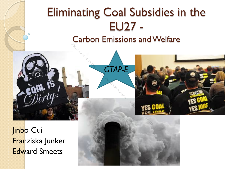# Eliminating Coal Subsidies in the EU27 -

Carbon Emissions and Welfare **20th Annual Strange in Global Trade Analysis - Order Course in Global Trade Analysis - DO NOT COURSE** 

*GTAP-E* 



Ō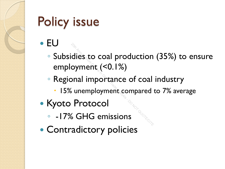# Policy issue

#### EU

- Subsidies to coal production (35%) to ensure employment (<0.1%) <sup>2</sup><br>20th Annual Short Course in Annual Short Course in Annual Sumemployment compared<br>30th Analysis - Director Course 20th Course 20th Course 20th Course 20th Course 20th 20th 20th 20th 20th 20th<br>30th Courses 20th 20th 20th
- Regional importance of coal industry
	- 15% unemployment compared to 7% average
- Kyoto Protocol
	- -17% GHG emissions
- Contradictory policies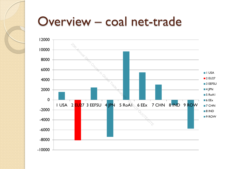#### Overview – coal net-trade

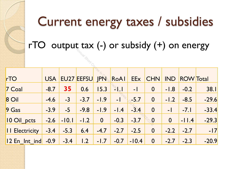# Current energy taxes / subsidies

rTO output tax  $(-)$  or subsidy  $(+)$  on energy

| r IO output tax $(-)$ or subsidy $(+)$ on energy |            |         |                   |               |                                           |            |                |                |                  |         |
|--------------------------------------------------|------------|---------|-------------------|---------------|-------------------------------------------|------------|----------------|----------------|------------------|---------|
|                                                  |            |         |                   |               |                                           |            |                |                |                  |         |
|                                                  |            |         |                   |               |                                           |            |                |                |                  |         |
| rTO                                              | <b>USA</b> |         | <b>EU27 EEFSU</b> | $IPN_{\odot}$ | RoAl                                      | <b>EEx</b> | <b>CHN</b>     | <b>IND</b>     | <b>ROW</b> Total |         |
| 7 Coal                                           | $-8.7$     | 35      | 0.6               | 15.3          | $\mathcal{L}_{\mathcal{U}_{\mathcal{A}}}$ | $-1$       | $\mathbf 0$    | $-1.8$         | $-0.2$           | 38.1    |
| 8 Oil                                            | $-4.6$     | $-3$    | $-3.7$            | $-1.9$        | $-1$                                      | $-5.7$     | $\mathbf 0$    | $-1.2$         | $-8.5$           | $-29.6$ |
| $9$ Gas                                          | $-3.9$     | $-5$    | $-9.8$            | $-1.9$        | $-1.4$                                    | $-3.4$     | $\overline{0}$ | $-1$           | $-7.1$           | $-33.4$ |
| 10 Oil_pcts                                      | $-2.6$     | $-10.1$ | $-1.2$            | $\mathbf{0}$  | $-0.3$                                    | $-3.7$     | $\geq 0$ .     | $\overline{0}$ | $-11.4$          | $-29.3$ |
| II Electricity                                   | $-3.4$     | $-5.3$  | 6.4               | $-4.7$        | $-2.7$                                    | $-2.5$     | $\mathbf 0$    | $-2.2$         | $-2.7$           | $-17$   |
| 12 En Int ind                                    | $-0.9$     | $-3.4$  | 1.2               | $-1.7$        | $-0.7$                                    | $-10.4$    | $\mathbf 0$    | $-2.7$         | $-2.3$           | $-20.9$ |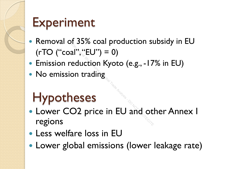## Experiment

- Removal of 35% coal production subsidy in EU  $(rTO ("coal", "EU") = 0)$
- **Emission reduction Kyoto (e.g., -17% in EU)**
- No emission trading

### Hypotheses

- **Lower CO2 price in EU and other Annex I** regions 2020 Coal production 3.<br>al", "EU") = 0)<br>eduction Kyoto (e.g., - I7<br>not trading<br>O2 price in EU and ot
- Less welfare loss in EU
- Lower global emissions (lower leakage rate)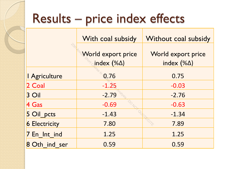## Results – price index effects

|                      | With coal subsidy                                | Without coal subsidy                      |  |  |
|----------------------|--------------------------------------------------|-------------------------------------------|--|--|
| ਨੇ                   | <b>World export price</b><br>index $(\% \Delta)$ | World export price<br>index $(\% \Delta)$ |  |  |
| I Agriculture        | 0.76                                             | 0.75                                      |  |  |
| 2 Coal               | $-1.25$                                          | $-0.03$                                   |  |  |
| 3 Oil                | $-2.79$                                          | $-2.76$                                   |  |  |
| $4$ Gas              | <b>DONG.</b><br>$-0.69$                          | $-0.63$                                   |  |  |
| 5 Oil_pcts           | $-1.43$                                          | $-1.34$                                   |  |  |
| <b>6 Electricity</b> | 7.80                                             | 7.89                                      |  |  |
| 7 En Int ind         | 1.25                                             | 1.25                                      |  |  |
| 8 Oth ind ser        | 0.59                                             | 0.59                                      |  |  |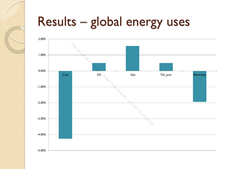# Results – global energy uses

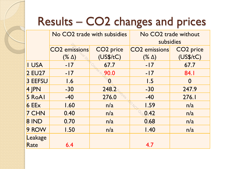#### Results – CO2 changes and prices

|              | No CO2 trade with subsidies |                       | No CO2 trade without |                       |  |  |
|--------------|-----------------------------|-----------------------|----------------------|-----------------------|--|--|
|              |                             |                       | subsidies            |                       |  |  |
|              | <b>CO2</b> emissions        | CO <sub>2</sub> price | <b>CO2</b> emissions | CO <sub>2</sub> price |  |  |
|              | $(\% \Delta)$               | (US\$/tC)             | $(\% \Delta)$        | (US\$/tC)             |  |  |
| I USA        | $-17$                       | 67.7                  | $-17$                | 67.7                  |  |  |
| 2 EU27       | $-17$                       | 90.0                  | $-17$                | 84.I                  |  |  |
| 3 EEFSU      | 1.6                         | Ø                     | 1.5                  | $\bf{0}$              |  |  |
| 4 JPN        | $-30$                       | 248.2                 | $-30$                | 247.9                 |  |  |
| 5 RoAl       | $-40$                       | 276.0                 | $-40$                | 276.I                 |  |  |
| $6$ EE $x$   | 1.60                        | n/a                   | 1.59                 | n/a                   |  |  |
| 7 CHN        | 0.40                        | n/a                   | 0.42                 | n/a                   |  |  |
| <b>8 IND</b> | 0.70                        | n/a                   | 0.68                 | n/a                   |  |  |
| 9 ROW        | 1.50                        | n/a                   | 1.40                 | n/a                   |  |  |
| Leakage      |                             |                       |                      |                       |  |  |
| Rate         | 6.4                         |                       | 4.7                  |                       |  |  |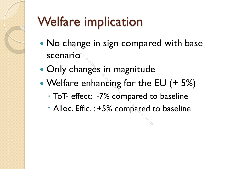# Welfare implication

- No change in sign compared with base scenario rio<br>2010<br>2010<br>2010 changes in magnitude<br>10th Annual Short Compared to<br>2011 Compared to Not Compared<br>10th Compared to Not Compared to Not Compared<br>2014
- Only changes in magnitude
- Welfare enhancing for the EU (+ 5%)
	- ToT- effect: -7% compared to baseline
	- Alloc. Effic. : +5% compared to baseline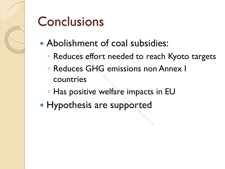#### **Conclusions**

- Abolishment of coal subsidies:
	- Reduces effort needed to reach Kyoto targets
	- Reduces GHG emissions non Annex I countries Einnent or coal subsic<br>less effort needed to reades<br>less GHG emissions not<br>tries<br>bositive welfare impacts<br>chesis are supported
	- Has positive welfare impacts in EU
- Hypothesis are supported